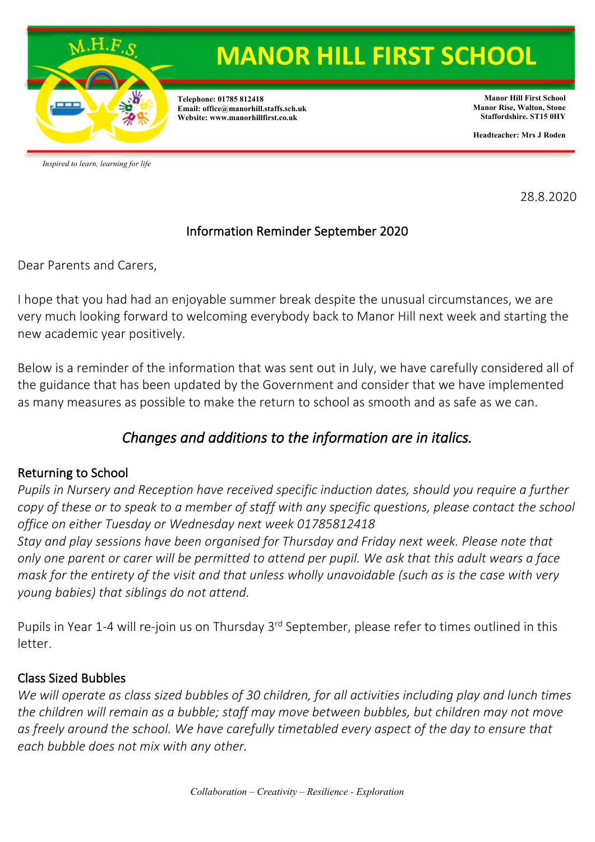

**Telephone: 01785 812418 Email: office@manorhill.staffs.sch.uk Website: www.manorhillfirst.co.uk**

**Manor Hill First School Manor Rise, Walton, Stone Staffordshire. ST15 0HY**

**Headteacher: Mrs J Roden**

*Inspired to learn, learning for life*

28.8.2020

#### Information Reminder September 2020

Dear Parents and Carers,

I hope that you had had an enjoyable summer break despite the unusual circumstances, we are very much looking forward to welcoming everybody back to Manor Hill next week and starting the new academic year positively.

Below is a reminder of the information that was sent out in July, we have carefully considered all of the guidance that has been updated by the Government and consider that we have implemented as many measures as possible to make the return to school as smooth and as safe as we can.

## *Changes and additions to the information are in italics.*

## Returning to School

*Pupils in Nursery and Reception have received specific induction dates, should you require a further copy of these or to speak to a member of staff with any specific questions, please contact the school office on either Tuesday or Wednesday next week 01785812418*

*Stay and play sessions have been organised for Thursday and Friday next week. Please note that only one parent or carer will be permitted to attend per pupil. We ask that this adult wears a face mask for the entirety of the visit and that unless wholly unavoidable (such as is the case with very young babies) that siblings do not attend.* 

Pupils in Year 1-4 will re-join us on Thursday 3<sup>rd</sup> September, please refer to times outlined in this letter.

## Class Sized Bubbles

*We will operate as class sized bubbles of 30 children, for all activities including play and lunch times the children will remain as a bubble; staff may move between bubbles, but children may not move*  as freely around the school. We have carefully timetabled every aspect of the day to ensure that *each bubble does not mix with any other.*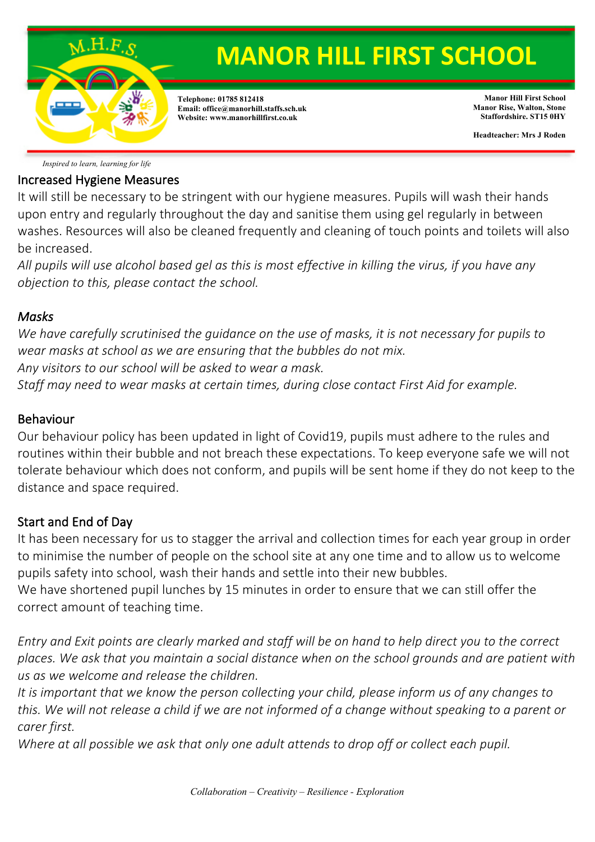

*Inspired to learn, learning for life*

#### Increased Hygiene Measures

It will still be necessary to be stringent with our hygiene measures. Pupils will wash their hands upon entry and regularly throughout the day and sanitise them using gel regularly in between washes. Resources will also be cleaned frequently and cleaning of touch points and toilets will also be increased.

*All pupils will use alcohol based gel as this is most effective in killing the virus, if you have any objection to this, please contact the school.*

#### *Masks*

*We have carefully scrutinised the guidance on the use of masks, it is not necessary for pupils to wear masks at school as we are ensuring that the bubbles do not mix.*

*Any visitors to our school will be asked to wear a mask.*

*Staff may need to wear masks at certain times, during close contact First Aid for example.*

#### Behaviour

Our behaviour policy has been updated in light of Covid19, pupils must adhere to the rules and routines within their bubble and not breach these expectations. To keep everyone safe we will not tolerate behaviour which does not conform, and pupils will be sent home if they do not keep to the distance and space required.

#### Start and End of Day

It has been necessary for us to stagger the arrival and collection times for each year group in order to minimise the number of people on the school site at any one time and to allow us to welcome pupils safety into school, wash their hands and settle into their new bubbles.

We have shortened pupil lunches by 15 minutes in order to ensure that we can still offer the correct amount of teaching time.

*Entry and Exit points are clearly marked and staff will be on hand to help direct you to the correct places. We ask that you maintain a social distance when on the school grounds and are patient with us as we welcome and release the children.*

*It is important that we know the person collecting your child, please inform us of any changes to this. We will not release a child if we are not informed of a change without speaking to a parent or carer first.*

*Where at all possible we ask that only one adult attends to drop off or collect each pupil.*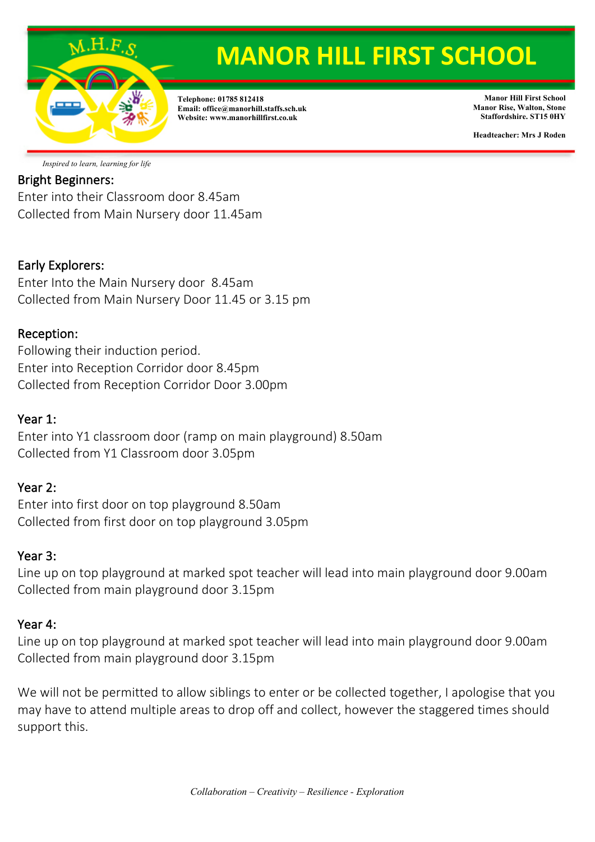

**Telephone: 01785 812418 Email: office@manorhill.staffs.sch.uk Website: www.manorhillfirst.co.uk**

**Manor Hill First School Manor Rise, Walton, Stone Staffordshire. ST15 0HY**

**Headteacher: Mrs J Roden**

*Inspired to learn, learning for life*

## Bright Beginners:

Enter into their Classroom door 8.45am Collected from Main Nursery door 11.45am

#### Early Explorers:

Enter Into the Main Nursery door 8.45am Collected from Main Nursery Door 11.45 or 3.15 pm

#### Reception:

Following their induction period. Enter into Reception Corridor door 8.45pm Collected from Reception Corridor Door 3.00pm

#### Year 1:

Enter into Y1 classroom door (ramp on main playground) 8.50am Collected from Y1 Classroom door 3.05pm

#### Year 2:

Enter into first door on top playground 8.50am Collected from first door on top playground 3.05pm

#### Year 3:

Line up on top playground at marked spot teacher will lead into main playground door 9.00am Collected from main playground door 3.15pm

#### Year 4:

Line up on top playground at marked spot teacher will lead into main playground door 9.00am Collected from main playground door 3.15pm

We will not be permitted to allow siblings to enter or be collected together, I apologise that you may have to attend multiple areas to drop off and collect, however the staggered times should support this.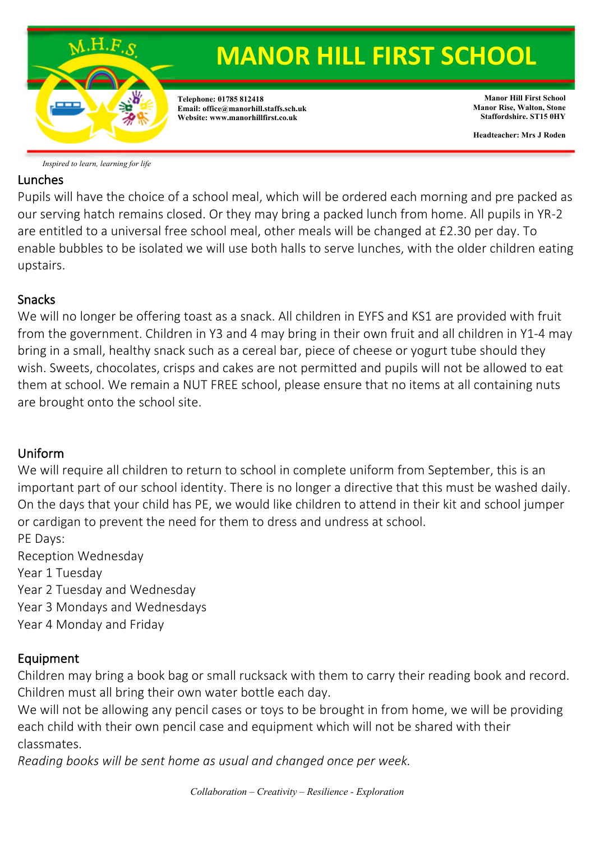

*Inspired to learn, learning for life*

#### Lunches

Pupils will have the choice of a school meal, which will be ordered each morning and pre packed as our serving hatch remains closed. Or they may bring a packed lunch from home. All pupils in YR-2 are entitled to a universal free school meal, other meals will be changed at £2.30 per day. To enable bubbles to be isolated we will use both halls to serve lunches, with the older children eating upstairs.

#### Snacks

We will no longer be offering toast as a snack. All children in EYFS and KS1 are provided with fruit from the government. Children in Y3 and 4 may bring in their own fruit and all children in Y1-4 may bring in a small, healthy snack such as a cereal bar, piece of cheese or yogurt tube should they wish. Sweets, chocolates, crisps and cakes are not permitted and pupils will not be allowed to eat them at school. We remain a NUT FREE school, please ensure that no items at all containing nuts are brought onto the school site.

## Uniform

We will require all children to return to school in complete uniform from September, this is an important part of our school identity. There is no longer a directive that this must be washed daily. On the days that your child has PE, we would like children to attend in their kit and school jumper or cardigan to prevent the need for them to dress and undress at school.

PE Days: Reception Wednesday Year 1 Tuesday Year 2 Tuesday and Wednesday Year 3 Mondays and Wednesdays Year 4 Monday and Friday

## Equipment

Children may bring a book bag or small rucksack with them to carry their reading book and record. Children must all bring their own water bottle each day.

We will not be allowing any pencil cases or toys to be brought in from home, we will be providing each child with their own pencil case and equipment which will not be shared with their classmates.

*Reading books will be sent home as usual and changed once per week.*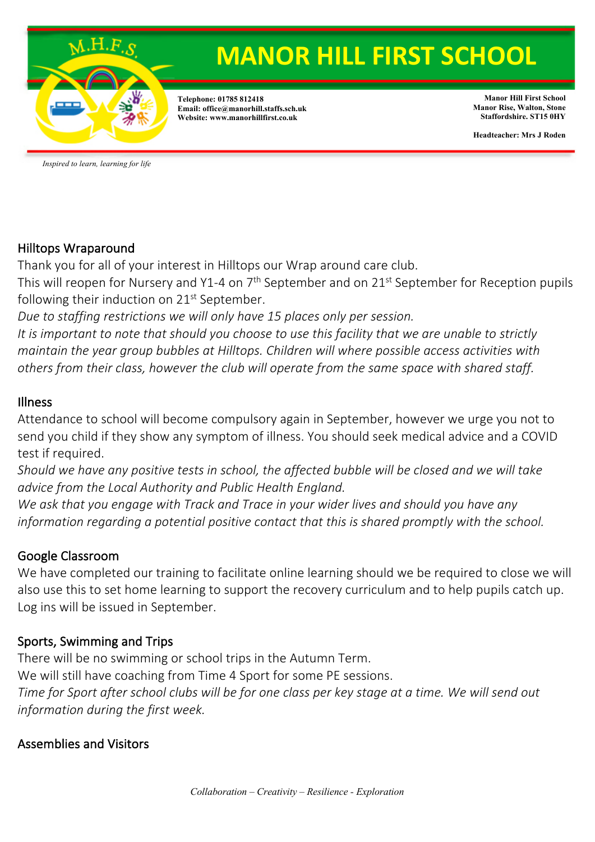

**Telephone: 01785 812418 Email: office@manorhill.staffs.sch.uk Website: www.manorhillfirst.co.uk**

**Manor Hill First School Manor Rise, Walton, Stone Staffordshire. ST15 0HY**

**Headteacher: Mrs J Roden**

*Inspired to learn, learning for life*

#### Hilltops Wraparound

Thank you for all of your interest in Hilltops our Wrap around care club.

This will reopen for Nursery and Y1-4 on 7<sup>th</sup> September and on 21<sup>st</sup> September for Reception pupils following their induction on  $21<sup>st</sup>$  September.

*Due to staffing restrictions we will only have 15 places only per session.*

*It is important to note that should you choose to use this facility that we are unable to strictly maintain the year group bubbles at Hilltops. Children will where possible access activities with others from their class, however the club will operate from the same space with shared staff.* 

#### Illness

Attendance to school will become compulsory again in September, however we urge you not to send you child if they show any symptom of illness. You should seek medical advice and a COVID test if required.

*Should we have any positive tests in school, the affected bubble will be closed and we will take advice from the Local Authority and Public Health England.*

*We ask that you engage with Track and Trace in your wider lives and should you have any information regarding a potential positive contact that this is shared promptly with the school.* 

## Google Classroom

We have completed our training to facilitate online learning should we be required to close we will also use this to set home learning to support the recovery curriculum and to help pupils catch up. Log ins will be issued in September.

## Sports, Swimming and Trips

There will be no swimming or school trips in the Autumn Term. We will still have coaching from Time 4 Sport for some PE sessions. *Time for Sport after school clubs will be for one class per key stage at a time. We will send out information during the first week.* 

## Assemblies and Visitors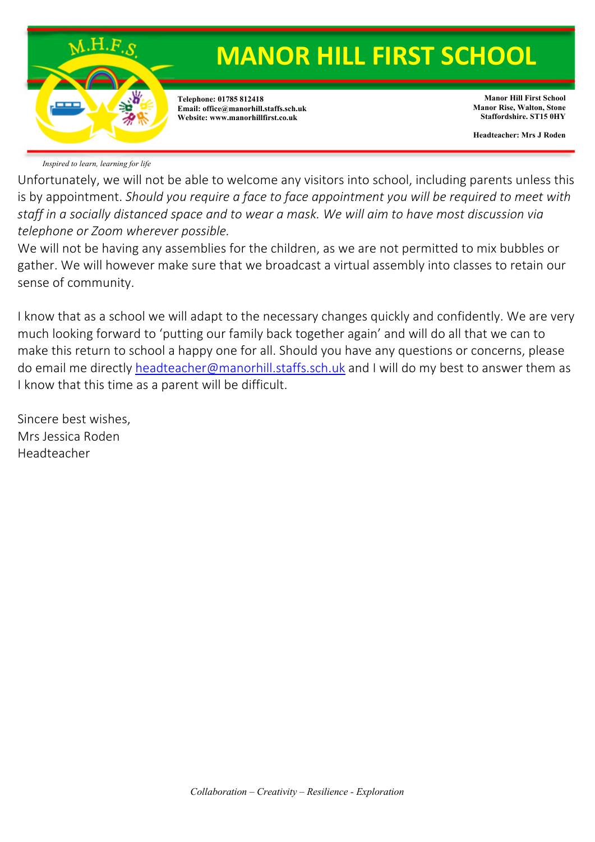

*Inspired to learn, learning for life*

Unfortunately, we will not be able to welcome any visitors into school, including parents unless this is by appointment. *Should you require a face to face appointment you will be required to meet with staff in a socially distanced space and to wear a mask. We will aim to have most discussion via telephone or Zoom wherever possible.*

We will not be having any assemblies for the children, as we are not permitted to mix bubbles or gather. We will however make sure that we broadcast a virtual assembly into classes to retain our sense of community.

I know that as a school we will adapt to the necessary changes quickly and confidently. We are very much looking forward to 'putting our family back together again' and will do all that we can to make this return to school a happy one for all. Should you have any questions or concerns, please do email me directly headteacher@manorhill.staffs.sch.uk and I will do my best to answer them as I know that this time as a parent will be difficult.

Sincere best wishes, Mrs Jessica Roden Headteacher